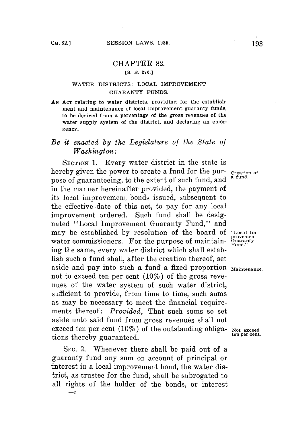## CHAPTER **82.**

## **[S. B. 270.]**

## **WATER DISTRICTS; LOCAL IMPROVEMENT GUARANTY FUNDS.**

AN Acr relating to water districts, providing for the establish**ment and maintenance of local improvement guaranty funds, to be derived from a percentage of the gross revenues of the water supply system of the district, and declaring an emergency.**

## *Be it enacted by the Legislature of the State of Washington:*

**SECTION 1.** Every water district in the state is hereby given the power to create a fund for the pur- *creation of* pose of guaranteeing, to the extent of such fund, and in the manner hereinafter provided, the payment of its local improvement bonds issued, subsequent to the effective date of this act, to pay for any local improvement ordered. Such fund shall be designated "Local Improvement Guaranty Fund," and may be established **by** resolution of the board of **"Local Im**may be established by resolution of the board of provement value commissioners. For the purpose of maintain-  $\frac{Gu}{\text{Fund.}}$ " ing the same, every water district which shall establish such a fund shall, after the creation thereof, set aside and pay into such a fund a fixed proportion Maintenance. not to exceed ten per cent  $(10\%)$  of the gross revenues of the water system of such water district, sufficient to provide, from time to time, such sums as may be necessary to meet the financial requirements thereof: *Provided,* That such sums so set aside unto said fund from gross revenues shall not exceed ten per cent  $(10\%)$  of the outstanding obliga-  $_{\text{Not exceed}}$  ten per cent. tions thereby guaranteed.

**SEC.** 2. Whenever there shall be paid out of a guaranty fund any sum on account of principal or interest in a local improvement bond, the water district, as trustee for the fund, shall be subrogated to all rights of the holder of the bonds, or interest **-7**

ċ.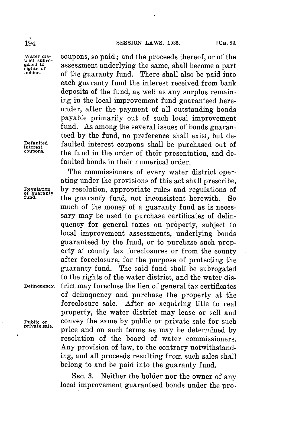Water dis-<br> **trict subro-**<br> **rights of**<br> **coupons, so paid; and the proceeds thereof, or of the gated to**<br> **ouder**<br> **of** the guaranty fund. There shall also he paid into of the guaranty fund. There shall also be paid into each guaranty fund the interest received from bank deposits of the fund, as well as any surplus remaining in the local improvement fund guaranteed hereunder, after the payment of all outstanding bonds payable primarily out of such local improvement fund. As among the several issues of bonds guaranteed **by** the fund, no preference shall exist, but de-**Defaulted** faulted interest coupons shall be purchased out of **interest coupons.** the fund in the order of their presentation, and defaulted bonds in their numerical order.

The commissioners of every water district operating under the provisions of this act shall prescribe, **Regulation by** resolution, appropriate rules and regulations of of guaranty fund. the guaranty fund, not inconsistent herewith. So much of the money of a guaranty fund as is necessary may be used to purchase certificates of delinquency for general taxes on property, subject to local improvement assessments, underlying bonds guaranteed **by** the fund, or to purchase such property at county tax foreclosures or from the county after foreclosure, for the purpose of protecting the guaranty fund. The said fund shall be subrogated to the rights of the water district, and the water dis-**Delinquency.** trict may foreclose the lien of general tax certificates of delinquency and purchase the property at the foreclosure sale. After so acquiring title to real property, the water district may lease or sell and **Public or** convey the same **by** public or private sale for such price and on such terms as may be determined by resolution of the board of water commissioners. Any provision of law, to the contrary notwithstanding, and all proceeds resulting from such sales shall belong to and be paid into the guaranty fund.

> SEc. **3.** Neither the holder nor the owner of any local improvement guaranteed bonds under the pro-